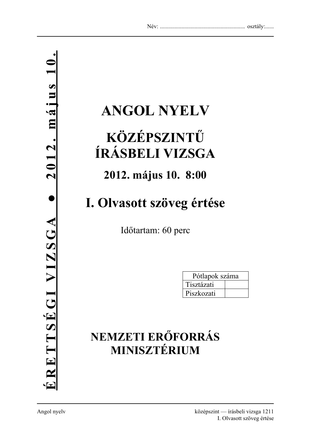# **ANGOL NYELV**

## **KÖZÉPSZINTŰ ÍRÁSBELI VIZSGA**

## **2012. május 10. 8:00**

## **I. Olvasott szöveg értése**

Időtartam: 60 perc

| Pótlapok száma |  |  |
|----------------|--|--|
| Tisztázati     |  |  |
| Piszkozati     |  |  |

## **NEMZETI ERŐFORRÁS MINISZTÉRIUM**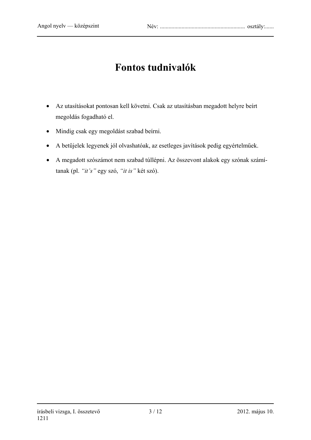## **Fontos tudnivalók**

- Az utasításokat pontosan kell követni. Csak az utasításban megadott helyre beírt megoldás fogadható el.
- Mindig csak egy megoldást szabad beírni.
- A betűjelek legyenek jól olvashatóak, az esetleges javítások pedig egyértelműek.
- A megadott szószámot nem szabad túllépni. Az összevont alakok egy szónak számítanak (pl. *"it's"* egy szó, *"it is"* két szó).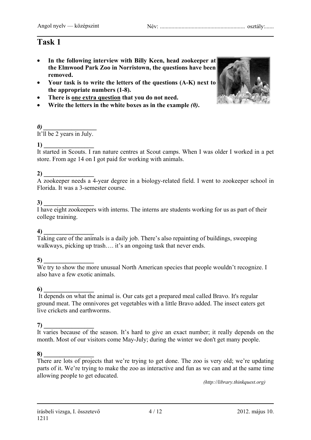- **In the following interview with Billy Keen, head zookeeper at the Elmwood Park Zoo in Norristown, the questions have been removed.**
- **Your task is to write the letters of the questions (A-K) next to the appropriate numbers (1-8).**
- **There is one extra question that you do not need.**
- **Write the letters in the white boxes as in the example** *(0)***.**



### $\boldsymbol{\theta}$

It'll be 2 years in July.

### **1**)

It started in Scouts. I ran nature centres at Scout camps. When I was older I worked in a pet store. From age 14 on I got paid for working with animals.

### **2) \_\_\_\_\_\_\_\_\_\_\_\_\_\_\_\_**

A zookeeper needs a 4-year degree in a biology-related field. I went to zookeeper school in Florida. It was a 3-semester course.

### 3)

I have eight zookeepers with interns. The interns are students working for us as part of their college training.

#### **4) \_\_\_\_\_\_\_\_\_\_\_\_\_\_\_\_**

Taking care of the animals is a daily job. There's also repainting of buildings, sweeping walkways, picking up trash.... it's an ongoing task that never ends.

#### **5) \_\_\_\_\_\_\_\_\_\_\_\_\_\_\_\_**

We try to show the more unusual North American species that people wouldn't recognize. I also have a few exotic animals.

#### **6) \_\_\_\_\_\_\_\_\_\_\_\_\_\_\_\_**

 It depends on what the animal is. Our cats get a prepared meal called Bravo. It's regular ground meat. The omnivores get vegetables with a little Bravo added. The insect eaters get live crickets and earthworms.

#### **7) \_\_\_\_\_\_\_\_\_\_\_\_\_\_\_\_**

It varies because of the season. It's hard to give an exact number; it really depends on the month. Most of our visitors come May-July; during the winter we don't get many people.

#### **8) \_\_\_\_\_\_\_\_\_\_\_\_\_\_\_\_**

There are lots of projects that we're trying to get done. The zoo is very old; we're updating parts of it. We're trying to make the zoo as interactive and fun as we can and at the same time allowing people to get educated.

*(http://library.thinkquest.org)*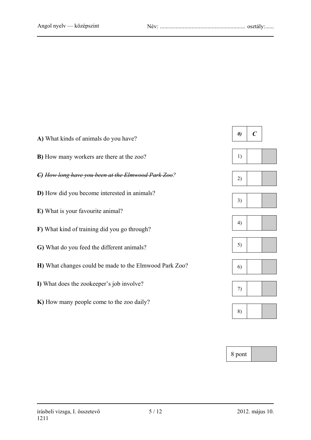

8 pont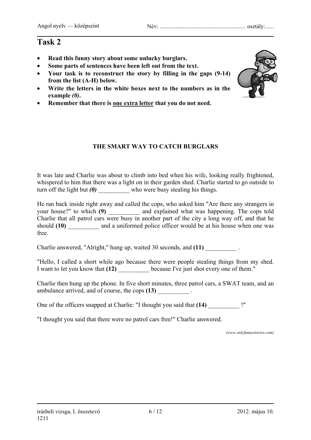- **Read this funny story about some unlucky burglars.**
- **Some parts of sentences have been left out from the text.**
- **Your task is to reconstruct the story by filling in the gaps (9-14) from the list (A-H) below.**
- **Write the letters in the white boxes next to the numbers as in the example** *(0)***.**
- **Remember that there is one extra letter that you do not need.**

### **THE SMART WAY TO CATCH BURGLARS**

It was late and Charlie was about to climb into bed when his wife, looking really frightened, whispered to him that there was a light on in their garden shed. Charlie started to go outside to turn off the light but *(0)* who were busy stealing his things.

He ran back inside right away and called the cops, who asked him "Are there any strangers in your house?" to which (9) and explained what was happening. The cops told Charlie that all patrol cars were busy in another part of the city a long way off, and that he should (10) and a uniformed police officer would be at his house when one was free.

Charlie answered, "Alright," hung up, waited 30 seconds, and (11)

"Hello, I called a short while ago because there were people stealing things from my shed. I want to let you know that (12) because I've just shot every one of them."

Charlie then hung up the phone. In five short minutes, three patrol cars, a SWAT team, and an ambulance arrived, and of course, the cops  $(13)$  \_\_\_\_\_\_\_\_\_\_\_\_\_\_.

One of the officers snapped at Charlie: "I thought you said that  $(14)$  !"

"I thought you said that there were no patrol cars free!" Charlie answered.

*(www.onlyfunnystories.com)* 

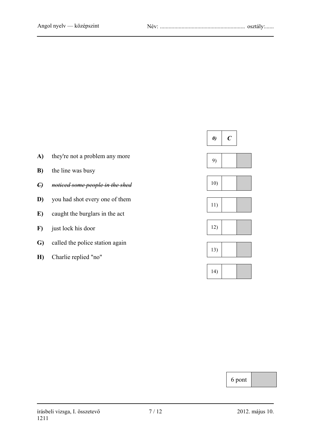

6 pont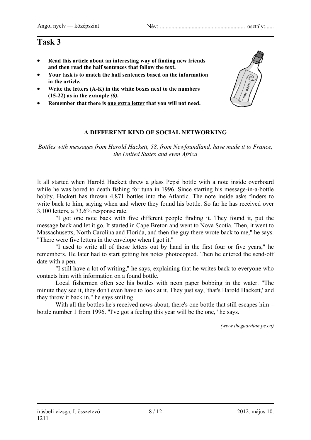- **Read this article about an interesting way of finding new friends and then read the half sentences that follow the text.**
- **Your task is to match the half sentences based on the information in the article.**
- **Write the letters (A-K) in the white boxes next to the numbers (15-22) as in the example** *(0)***.**
- **Remember that there is one extra letter that you will not need.**

### **A DIFFERENT KIND OF SOCIAL NETWORKING**

*Bottles with messages from Harold Hackett, 58, from Newfoundland, have made it to France, the United States and even Africa* 

It all started when Harold Hackett threw a glass Pepsi bottle with a note inside overboard while he was bored to death fishing for tuna in 1996. Since starting his message-in-a-bottle hobby, Hackett has thrown 4,871 bottles into the Atlantic. The note inside asks finders to write back to him, saying when and where they found his bottle. So far he has received over 3,100 letters, a 73.6% response rate.

"I got one note back with five different people finding it. They found it, put the message back and let it go. It started in Cape Breton and went to Nova Scotia. Then, it went to Massachusetts, North Carolina and Florida, and then the guy there wrote back to me," he says. "There were five letters in the envelope when I got it."

"I used to write all of those letters out by hand in the first four or five years," he remembers. He later had to start getting his notes photocopied. Then he entered the send-off date with a pen.

"I still have a lot of writing," he says, explaining that he writes back to everyone who contacts him with information on a found bottle.

Local fishermen often see his bottles with neon paper bobbing in the water. "The minute they see it, they don't even have to look at it. They just say, 'that's Harold Hackett,' and they throw it back in," he says smiling.

With all the bottles he's received news about, there's one bottle that still escapes him – bottle number 1 from 1996. "I've got a feeling this year will be the one," he says.

*(www.theguardian.pe.ca)* 

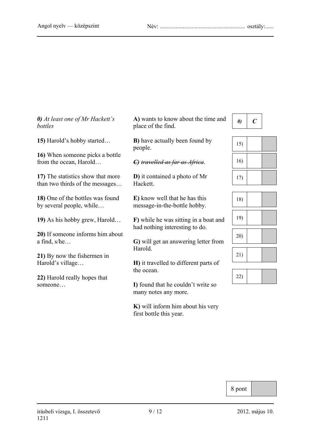*0) At least one of Mr Hackett's bottles* 

**15)** Harold's hobby started…

**16)** When someone picks a bottle from the ocean, Harold…

**17)** The statistics show that more than two thirds of the messages…

**18)** One of the bottles was found by several people, while…

**19)** As his hobby grew, Harold…

**20)** If someone informs him about a find, s/he…

**21)** By now the fishermen in Harold's village…

**22)** Harold really hopes that someone…

**A)** wants to know about the time and place of the find.



*C) travelled as far as Africa*.

**D)** it contained a photo of Mr Hackett.

**E)** know well that he has this message-in-the-bottle hobby.

**F)** while he was sitting in a boat and had nothing interesting to do.

**G)** will get an answering letter from Harold.

**H)** it travelled to different parts of the ocean.

**I)** found that he couldn't write so many notes any more.

**K)** will inform him about his very first bottle this year.



| 15) |  |
|-----|--|
| 16) |  |
| 17) |  |

| 18) |  |
|-----|--|
| 19) |  |
| 20) |  |
| 21) |  |

| 22) |  |  |
|-----|--|--|
|-----|--|--|

8 pont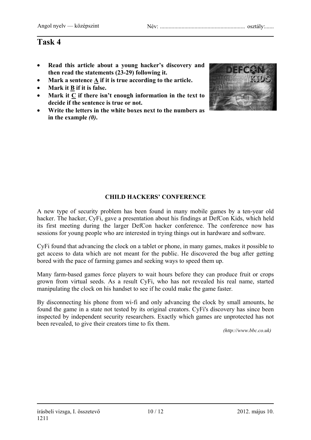- **Read this article about a young hacker's discovery and then read the statements (23-29) following it.**
- **Mark a sentence A if it is true according to the article.**
- **Mark it B if it is false.**
- **Mark it C if there isn't enough information in the text to decide if the sentence is true or not.**
- **Write the letters in the white boxes next to the numbers as in the example** *(0)***.**



### **CHILD HACKERS' CONFERENCE**

A new type of security problem has been found in many mobile games by a ten-year old hacker. The hacker, CyFi, gave a presentation about his findings at DefCon Kids, which held its first meeting during the larger DefCon hacker conference. The conference now has sessions for young people who are interested in trying things out in hardware and software.

CyFi found that advancing the clock on a tablet or phone, in many games, makes it possible to get access to data which are not meant for the public. He discovered the bug after getting bored with the pace of farming games and seeking ways to speed them up.

Many farm-based games force players to wait hours before they can produce fruit or crops grown from virtual seeds. As a result CyFi, who has not revealed his real name, started manipulating the clock on his handset to see if he could make the game faster.

By disconnecting his phone from wi-fi and only advancing the clock by small amounts, he found the game in a state not tested by its original creators. CyFi's discovery has since been inspected by independent security researchers. Exactly which games are unprotected has not been revealed, to give their creators time to fix them.

 *(http://www.bbc.co.uk)*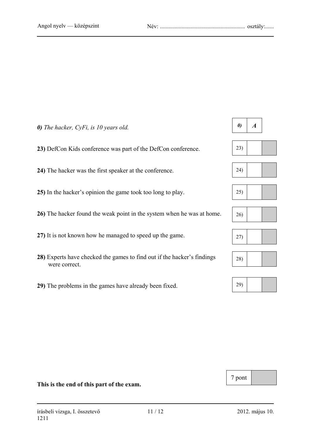*0) The hacker, CyFi, is 10 years old.* 

**23)** DefCon Kids conference was part of the DefCon conference.

**24)** The hacker was the first speaker at the conference.

**25)** In the hacker's opinion the game took too long to play.

**26)** The hacker found the weak point in the system when he was at home.

**27)** It is not known how he managed to speed up the game.

- **28)** Experts have checked the games to find out if the hacker's findings were correct.
- **29)** The problems in the games have already been fixed.

## $\theta$  |  $\theta$















7 pont

#### **This is the end of this part of the exam.**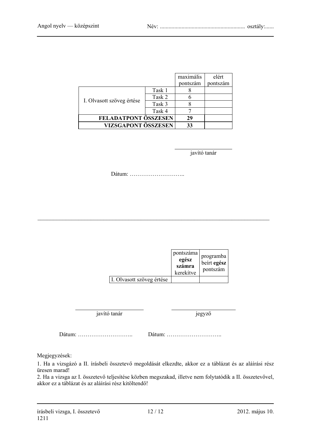|                           |        | maximális | elért    |
|---------------------------|--------|-----------|----------|
|                           |        | pontszám  | pontszám |
|                           | Task 1 |           |          |
| I. Olvasott szöveg értése | Task 2 |           |          |
|                           | Task 3 |           |          |
|                           | Task 4 |           |          |
| FELADATPONT ÖSSZESEN      |        | 29        |          |
| VIZSGAPONT ÖSSZESEN       |        | 33        |          |

javító tanár

Dátum: ………………………..

 $\mathcal{L}_\text{max} = \frac{1}{2} \sum_{i=1}^n \mathcal{L}_\text{max}(\mathbf{z}_i - \mathbf{z}_i)$ 

|                           | pontszáma<br>egész<br>számra<br>kerekítve | programba<br>beirt egész<br>pontszám |
|---------------------------|-------------------------------------------|--------------------------------------|
| I. Olvasott szöveg értése |                                           |                                      |

javító tanár jegyző

Dátum: ……………………….. Dátum: ………………………..

Megjegyzések:

1. Ha a vizsgázó a II. írásbeli összetevő megoldását elkezdte, akkor ez a táblázat és az aláírási rész üresen marad!

2. Ha a vizsga az I. összetevő teljesítése közben megszakad, illetve nem folytatódik a II. összetevővel, akkor ez a táblázat és az aláírási rész kitöltendő!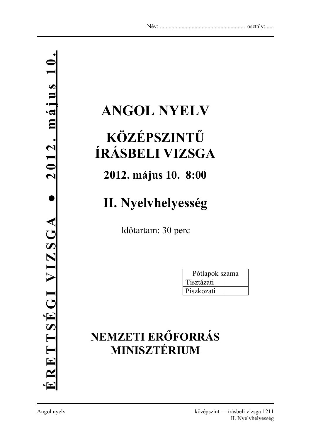# **ANGOL NYELV**

## **KÖZÉPSZINTŰ ÍRÁSBELI VIZSGA**

## **2012. május 10. 8:00**

## **II. Nyelvhelyesség**

Időtartam: 30 perc

| Pótlapok száma |  |
|----------------|--|
| Tisztázati     |  |
| Piszkozati     |  |

## **NEMZETI ERŐFORRÁS MINISZTÉRIUM**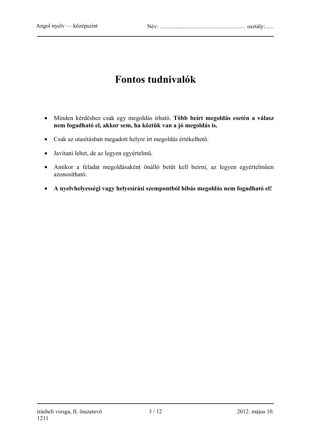## **Fontos tudnivalók**

- Minden kérdéshez csak egy megoldás írható. **Több beírt megoldás esetén a válasz nem fogadható el, akkor sem, ha köztük van a jó megoldás is.**
- Csak az utasításban megadott helyre írt megoldás értékelhető.
- Javítani lehet, de az legyen egyértelmű.
- Amikor a feladat megoldásaként önálló betűt kell beírni, az legyen egyértelműen azonosítható.
- **A nyelvhelyességi vagy helyesírási szempontból hibás megoldás nem fogadható el!**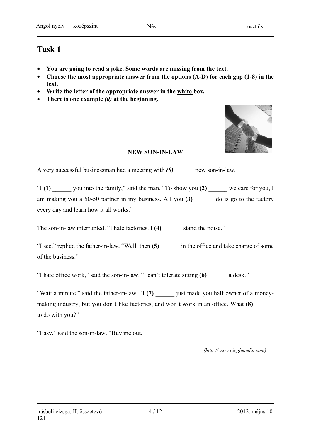- **You are going to read a joke. Some words are missing from the text.**
- **Choose the most appropriate answer from the options (A-D) for each gap (1-8) in the text.**
- **Write the letter of the appropriate answer in the white box.**
- **There is one example** *(0)* **at the beginning.**



### **NEW SON-IN-LAW**

A very successful businessman had a meeting with **(0)** new son-in-law.

"I **(1) \_\_\_\_\_\_** you into the family," said the man. "To show you **(2) \_\_\_\_\_\_** we care for you, I am making you a 50-50 partner in my business. All you (3) do is go to the factory every day and learn how it all works."

The son-in-law interrupted. "I hate factories. I (4) stand the noise."

"I see," replied the father-in-law, "Well, then **(5)** in the office and take charge of some of the business."

"I hate office work," said the son-in-law. "I can't tolerate sitting **(6) \_\_\_\_\_\_** a desk."

"Wait a minute," said the father-in-law. "I **(7) \_\_\_\_\_\_** just made you half owner of a moneymaking industry, but you don't like factories, and won't work in an office. What **(8)** to do with you?"

"Easy," said the son-in-law. "Buy me out."

 *(http://www.gigglepedia.com)*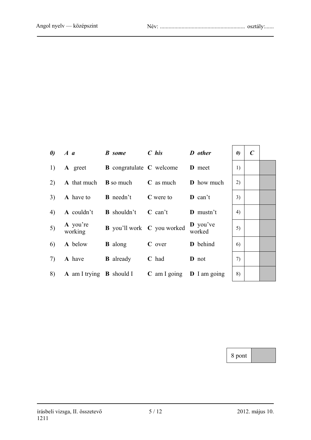|    | $\boldsymbol{\theta}$ $A \boldsymbol{a}$ | <b>B</b> some                            | $C$ his                       | D other                       | $\boldsymbol{\theta}$ | $\boldsymbol{C}$ |
|----|------------------------------------------|------------------------------------------|-------------------------------|-------------------------------|-----------------------|------------------|
| 1) | A greet                                  | <b>B</b> congratulate <b>C</b> welcome   |                               | <b>D</b> meet                 | 1)                    |                  |
| 2) | <b>A</b> that much <b>B</b> so much      |                                          | $C$ as much                   | <b>D</b> how much             | 2)                    |                  |
| 3) |                                          | <b>A</b> have to <b>B</b> needn't        | C were to                     | $\mathbf{D}$ can't            | 3)                    |                  |
| 4) | A couldn't                               | <b>B</b> shouldn't                       | $C$ can't                     | $\bf{D}$ mustn't              | 4)                    |                  |
| 5) | A you're<br>working                      | <b>B</b> you'll work <b>C</b> you worked |                               | $\mathbf{D}$ you've<br>worked | 5)                    |                  |
| 6) | A below                                  | <b>B</b> along                           | C over                        | <b>D</b> behind               | 6)                    |                  |
| 7) | A have                                   | <b>B</b> already                         | C had                         | <b>D</b> not                  | 7)                    |                  |
| 8) |                                          | <b>A</b> am I trying <b>B</b> should I   | $C$ am I going $D$ I am going |                               | 8)                    |                  |

| $\boldsymbol{\theta}$        | $\boldsymbol{C}$ |  |
|------------------------------|------------------|--|
| 1)                           |                  |  |
| 2)                           |                  |  |
| 3)                           |                  |  |
| $\left( \frac{4}{2} \right)$ |                  |  |
| 5)                           |                  |  |
| 6)                           |                  |  |
| 7)                           |                  |  |
| 8)                           |                  |  |

8 pont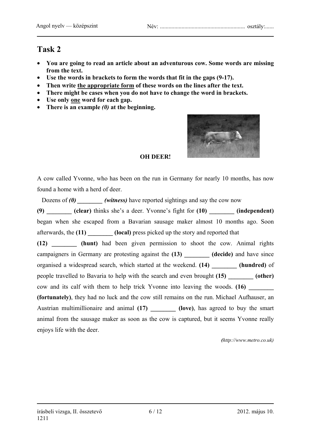- **You are going to read an article about an adventurous cow. Some words are missing from the text.**
- **Use the words in brackets to form the words that fit in the gaps (9-17).**
- **Then write the appropriate form of these words on the lines after the text.**
- **There might be cases when you do not have to change the word in brackets.**
- **Use only one word for each gap.**
- **There is an example** *(0)* **at the beginning.**



### **OH DEER!**

A cow called Yvonne, who has been on the run in Germany for nearly 10 months, has now found a home with a herd of deer.

Dozens of (0) *(witness)* have reported sightings and say the cow now

**(9) \_\_\_\_\_\_\_\_ (clear)** thinks she's a deer. Yvonne's fight for **(10) \_\_\_\_\_\_\_\_ (independent)**  began when she escaped from a Bavarian sausage maker almost 10 months ago. Soon afterwards, the **(11) \_\_\_\_\_\_\_\_ (local)** press picked up the story and reported that **(12) \_\_\_\_\_\_\_\_ (hunt)** had been given permission to shoot the cow. Animal rights campaigners in Germany are protesting against the (13) **(decide)** and have since organised a widespread search, which started at the weekend. **(14) \_\_\_\_\_\_\_\_ (hundred)** of people travelled to Bavaria to help with the search and even brought **(15) \_\_\_\_\_\_\_\_ (other)** cow and its calf with them to help trick Yvonne into leaving the woods. **(16) (fortunately)**, they had no luck and the cow still remains on the run. Michael Aufhauser, an Austrian multimillionaire and animal (17) (love), has agreed to buy the smart animal from the sausage maker as soon as the cow is captured, but it seems Yvonne really enjoys life with the deer.

 *(http://www.metro.co.uk)*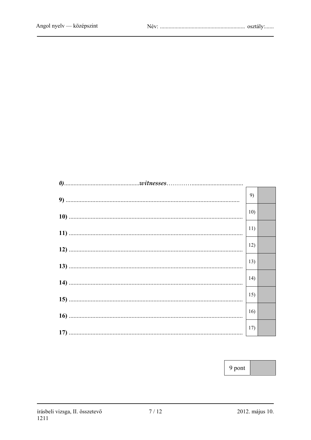| 9)  |  |
|-----|--|
| 10) |  |
| 11) |  |
| 12) |  |
| 13) |  |
| 14) |  |
| 15) |  |
| 16) |  |
| 17) |  |

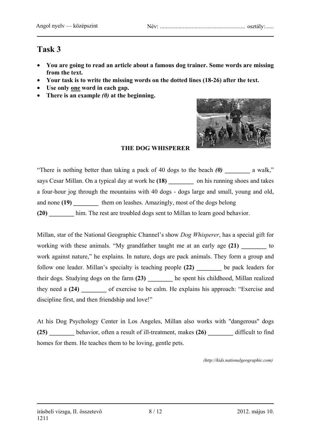- **You are going to read an article about a famous dog trainer. Some words are missing from the text.**
- **Your task is to write the missing words on the dotted lines (18-26) after the text.**
- **Use only one word in each gap.**
- **There is an example** *(0)* **at the beginning.**



### **THE DOG WHISPERER**

"There is nothing better than taking a pack of 40 dogs to the beach *(0)* **\_\_\_\_\_\_\_\_** a walk," says Cesar Millan. On a typical day at work he **(18) \_\_\_\_\_\_\_\_** on his running shoes and takes a four-hour jog through the mountains with 40 dogs - dogs large and small, young and old, and none (19) them on leashes. Amazingly, most of the dogs belong **(20) \_\_\_\_\_\_\_\_** him. The rest are troubled dogs sent to Millan to learn good behavior.

Millan, star of the National Geographic Channel's show *Dog Whisperer*, has a special gift for working with these animals. "My grandfather taught me at an early age (21) to work against nature," he explains. In nature, dogs are pack animals. They form a group and follow one leader. Millan's specialty is teaching people **(22) \_\_\_\_\_\_\_\_** be pack leaders for their dogs. Studying dogs on the farm (23) he spent his childhood, Millan realized they need a (24) of exercise to be calm. He explains his approach: "Exercise and discipline first, and then friendship and love!"

At his Dog Psychology Center in Los Angeles, Millan also works with "dangerous" dogs **(25) \_\_\_\_\_\_\_\_** behavior, often a result of ill-treatment, makes **(26) \_\_\_\_\_\_\_\_** difficult to find homes for them. He teaches them to be loving, gentle pets.

*(http://kids.nationalgeographic.com)*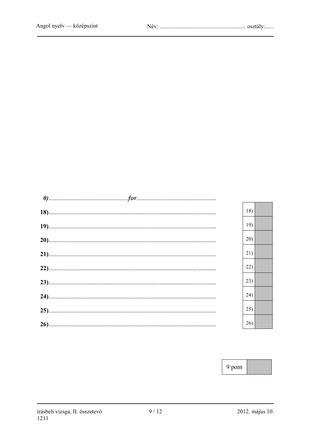|  | 18) |  |
|--|-----|--|
|  | 19) |  |
|  | 20) |  |
|  | 21) |  |
|  | 22) |  |
|  | 23) |  |
|  | 24) |  |
|  | 25) |  |
|  | 26) |  |

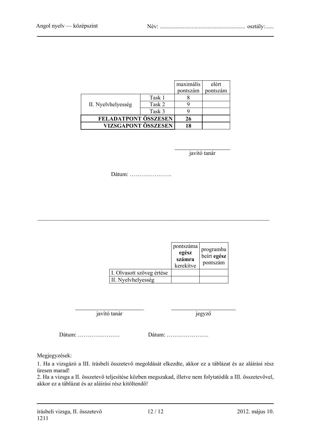|                      |        | maximális | elért    |
|----------------------|--------|-----------|----------|
|                      |        | pontszám  | pontszám |
|                      | Task 1 |           |          |
| II. Nyelvhelyesség   | Task 2 |           |          |
|                      | Task 3 |           |          |
| FELADATPONT ÖSSZESEN |        | 26        |          |
| VIZSGAPONT ÖSSZESEN  |        | 18        |          |

javító tanár

Dátum: ………………….

 $\mathcal{L}_\text{max} = \frac{1}{2} \sum_{i=1}^n \mathcal{L}_\text{max}(\mathbf{z}_i - \mathbf{z}_i)$ 

|                           | pontszáma<br>egész<br>számra<br>kerekítve | programba<br>beirt egész<br>pontszám |
|---------------------------|-------------------------------------------|--------------------------------------|
| I. Olvasott szöveg értése |                                           |                                      |
| II. Nyelvhelyesség        |                                           |                                      |

javító tanár jegyző

Dátum: …………………. Dátum: ………………….

Megjegyzések:

1. Ha a vizsgázó a III. írásbeli összetevő megoldását elkezdte, akkor ez a táblázat és az aláírási rész üresen marad!

2. Ha a vizsga a II. összetevő teljesítése közben megszakad, illetve nem folytatódik a III. összetevővel, akkor ez a táblázat és az aláírási rész kitöltendő!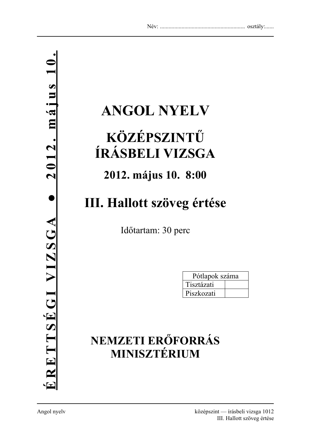# **ANGOL NYELV**

## **KÖZÉPSZINTŰ ÍRÁSBELI VIZSGA**

## **2012. május 10. 8:00**

## **III. Hallott szöveg értése**

Időtartam: 30 perc

| Pótlapok száma |  |
|----------------|--|
| Tisztázati     |  |
| Piszkozati     |  |

## **NEMZETI ERŐFORRÁS MINISZTÉRIUM**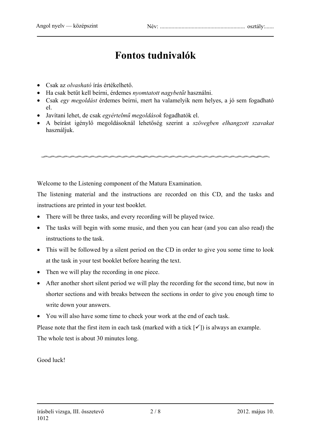## **Fontos tudnivalók**

- Csak az *olvasható* írás értékelhető.
- Ha csak betűt kell beírni, érdemes *nyomtatott nagybetűt* használni.
- Csak *egy megoldást* érdemes beírni, mert ha valamelyik nem helyes, a jó sem fogadható el.
- Javítani lehet, de csak *egyértelmű megoldások* fogadhatók el.
- A beírást igénylő megoldásoknál lehetőség szerint a *szövegben elhangzott szavakat* használjuk.

Welcome to the Listening component of the Matura Examination.

The listening material and the instructions are recorded on this CD, and the tasks and instructions are printed in your test booklet.

- There will be three tasks, and every recording will be played twice.
- The tasks will begin with some music, and then you can hear (and you can also read) the instructions to the task.
- This will be followed by a silent period on the CD in order to give you some time to look at the task in your test booklet before hearing the text.
- Then we will play the recording in one piece.
- After another short silent period we will play the recording for the second time, but now in shorter sections and with breaks between the sections in order to give you enough time to write down your answers.
- You will also have some time to check your work at the end of each task.

Please note that the first item in each task (marked with a tick  $\lceil \checkmark \rceil$ ) is always an example. The whole test is about 30 minutes long.

Good luck!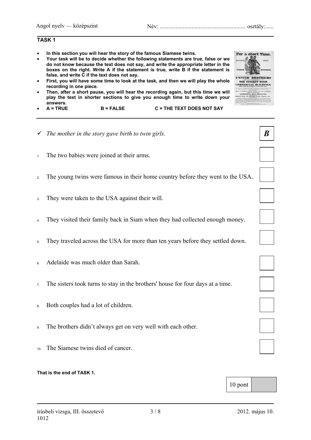#### **TASK 1**

- **In this section you will hear the story of the famous Siamese twins.**
- **Your task will be to decide whether the following statements are true, false or we do not know because the text does not say, and write the appropriate letter in the boxes on the right. Write A if the statement is true, write B if the statement is false, and write C if the text does not say.**
- **First, you will have some time to look at the task, and then we will play the whole recording in one piece.**
- **Then, after a short pause, you will hear the recording again, but this time we will play the text in shorter sections to give you enough time to write down your answers.**
- **A = TRUE B = FALSE C = THE TEXT DOES NOT SAY**
- 9 *The mother in the story gave birth to twin girls.*
- 1. The two babies were joined at their arms.
- 2. The young twins were famous in their home country before they went to the USA.
- 3. They were taken to the USA against their will.
- 4. They visited their family back in Siam when they had collected enough money.
- 5. They traveled across the USA for more than ten years before they settled down.
- 6. Adelaide was much older than Sarah.
- 7. The sisters took turns to stay in the brothers' house for four days at a time.
- 8. Both couples had a lot of children.
- 9. The brothers didn't always get on very well with each other.
- 10. The Siamese twins died of cancer.

#### **That is the end of TASK 1.**



*B* 









10 pont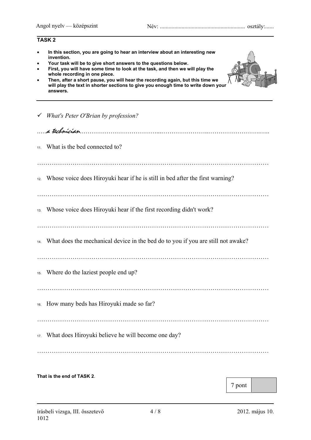|     | <b>TASK2</b>                                                                                                                                                                                                                                                                                                                                                                                                                                                       |
|-----|--------------------------------------------------------------------------------------------------------------------------------------------------------------------------------------------------------------------------------------------------------------------------------------------------------------------------------------------------------------------------------------------------------------------------------------------------------------------|
|     | In this section, you are going to hear an interview about an interesting new<br>invention.<br>Your task will be to give short answers to the questions below.<br>First, you will have some time to look at the task, and then we will play the<br>whole recording in one piece.<br>Then, after a short pause, you will hear the recording again, but this time we<br>will play the text in shorter sections to give you enough time to write down your<br>answers. |
|     | What's Peter O'Brian by profession?                                                                                                                                                                                                                                                                                                                                                                                                                                |
|     | a technician                                                                                                                                                                                                                                                                                                                                                                                                                                                       |
| 11. | What is the bed connected to?                                                                                                                                                                                                                                                                                                                                                                                                                                      |
|     |                                                                                                                                                                                                                                                                                                                                                                                                                                                                    |
| 12. | Whose voice does Hiroyuki hear if he is still in bed after the first warning?                                                                                                                                                                                                                                                                                                                                                                                      |
| 13. | Whose voice does Hiroyuki hear if the first recording didn't work?                                                                                                                                                                                                                                                                                                                                                                                                 |
| 14. | What does the mechanical device in the bed do to you if you are still not awake?                                                                                                                                                                                                                                                                                                                                                                                   |
|     | <sup>15</sup> . Where do the laziest people end up?                                                                                                                                                                                                                                                                                                                                                                                                                |
| 16. | How many beds has Hiroyuki made so far?                                                                                                                                                                                                                                                                                                                                                                                                                            |
| 17. | What does Hiroyuki believe he will become one day?                                                                                                                                                                                                                                                                                                                                                                                                                 |
|     |                                                                                                                                                                                                                                                                                                                                                                                                                                                                    |

#### **That is the end of TASK 2**.

7 pont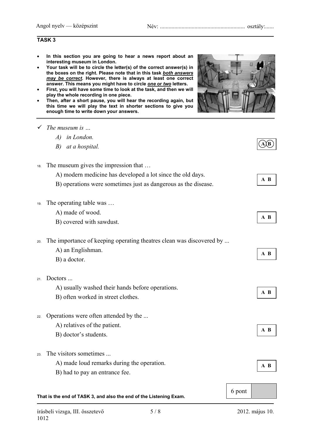#### **TASK 3**

- **In this section you are going to hear a news report about an interesting museum in London.**
- **Your task will be to circle the letter(s) of the correct answer(s) in the boxes on the right. Please note that in this task** *both answers may be correct***. However, there is always at least one correct answer. This means you might have to circle** *one* **or** *two* **letters.**
- **First, you will have some time to look at the task, and then we will play the whole recording in one piece.**
- **Then, after a short pause, you will hear the recording again, but this time we will play the text in shorter sections to give you enough time to write down your answers.**
- 9 *The museum is …* 
	- *A) in London.*
	- *B) at a hospital.*
- 18. The museum gives the impression that …
	- A) modern medicine has developed a lot since the old days.
	- B) operations were sometimes just as dangerous as the disease.
- 19. The operating table was …
	- A) made of wood.
	- B) covered with sawdust.
- 20. The importance of keeping operating theatres clean was discovered by ...
	- A) an Englishman.
	- B) a doctor.
- 21. Doctors ...
	- A) usually washed their hands before operations.
	- B) often worked in street clothes.
- 22. Operations were often attended by the ...
	- A) relatives of the patient.
	- B) doctor's students.
- 23. The visitors sometimes
	- A) made loud remarks during the operation.
	- B) had to pay an entrance fee.

#### **That is the end of TASK 3, and also the end of the Listening Exam.**



| ĸ |
|---|
|   |

 $A$  $(B)$ 

**A B**

- **A B**
- **A B**
- **A B**
- **A B**
- 6 pont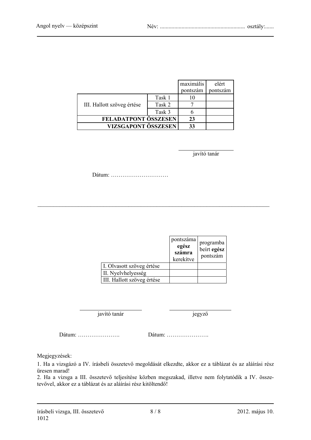|                            |        | maximális | elért    |
|----------------------------|--------|-----------|----------|
|                            |        | pontszám  | pontszám |
|                            | Task 1 |           |          |
| III. Hallott szöveg értése | Task 2 |           |          |
|                            | Task 3 |           |          |
| FELADATPONT ÖSSZESEN       |        | 23        |          |
| VIZSGAPONT ÖSSZESEN        |        | 33        |          |

javító tanár

Dátum: …………………………

|                            | pontszáma<br>egész<br>számra<br>kerekítve | programba<br>beirt egész<br>pontszám |
|----------------------------|-------------------------------------------|--------------------------------------|
| I. Olvasott szöveg értése  |                                           |                                      |
| II. Nyelvhelyesség         |                                           |                                      |
| III. Hallott szöveg értése |                                           |                                      |

 $\mathcal{L}_\text{max} = \frac{1}{2} \sum_{i=1}^n \mathcal{L}_\text{max}(\mathbf{z}_i - \mathbf{z}_i)$ 

javító tanár jegyző

Dátum: …………………. Dátum: ………………….

Megjegyzések:

1. Ha a vizsgázó a IV. írásbeli összetevő megoldását elkezdte, akkor ez a táblázat és az aláírási rész üresen marad!

2. Ha a vizsga a III. összetevő teljesítése közben megszakad, illetve nem folytatódik a IV. összetevővel, akkor ez a táblázat és az aláírási rész kitöltendő!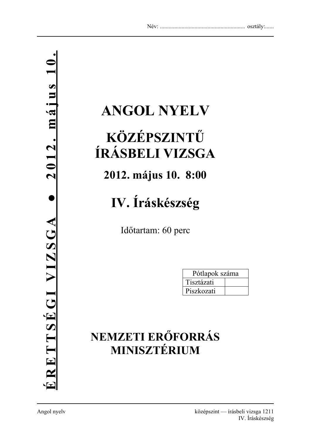## **ANGOL NYELV**

## **KÖZÉPSZINTŰ ÍRÁSBELI VIZSGA**

## **2012. május 10. 8:00**

## **IV. Íráskészség**

Időtartam: 60 perc

| Pótlapok száma |  |
|----------------|--|
| Tisztázati     |  |
| Piszkozati     |  |

## **NEMZETI ERŐFORRÁS MINISZTÉRIUM**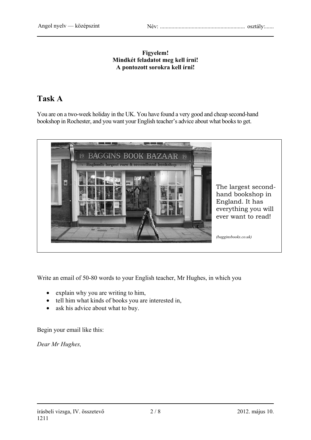#### **Figyelem! Mindkét feladatot meg kell írni! A pontozott sorokra kell írni!**

## **Task A**

You are on a two-week holiday in the UK. You have found a very good and cheap second-hand bookshop in Rochester, and you want your English teacher's advice about what books to get.



Write an email of 50-80 words to your English teacher, Mr Hughes, in which you

- explain why you are writing to him,
- tell him what kinds of books you are interested in,
- ask his advice about what to buy.

Begin your email like this:

*Dear Mr Hughes,*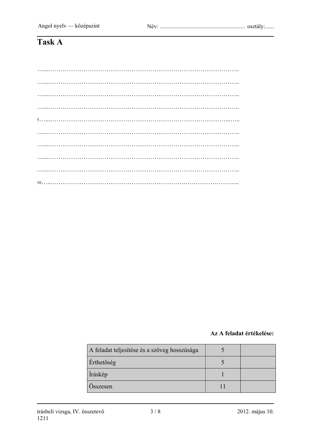## Task A

#### Az A feladat értékelése:

| A feladat teljesítése és a szöveg hosszúsága |  |
|----------------------------------------------|--|
| Érthetőség                                   |  |
| Íráskép                                      |  |
| Osszesen                                     |  |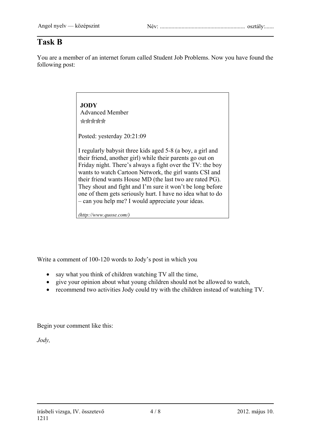### **Task B**

You are a member of an internet forum called Student Job Problems. Now you have found the following post:

### **JODY** Advanced Member \*\*\*\*\*

Posted: yesterday 20:21:09

I regularly babysit three kids aged 5-8 (a boy, a girl and their friend, another girl) while their parents go out on Friday night. There's always a fight over the TV: the boy wants to watch Cartoon Network, the girl wants CSI and their friend wants House MD (the last two are rated PG). They shout and fight and I'm sure it won't be long before one of them gets seriously hurt. I have no idea what to do – can you help me? I would appreciate your ideas.

*(http://www.quose.com/)* 

Write a comment of 100-120 words to Jody's post in which you

- say what you think of children watching TV all the time,
- give your opinion about what young children should not be allowed to watch,
- recommend two activities Jody could try with the children instead of watching TV.

Begin your comment like this:

*Jody,*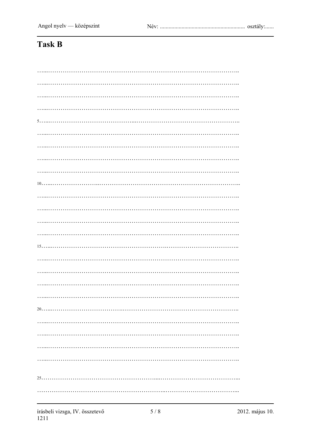## Task B

| . |
|---|
|   |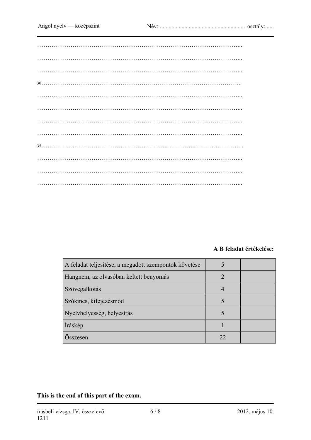### **A B feladat értékelése:**

| A feladat teljesítése, a megadott szempontok követése |    |  |
|-------------------------------------------------------|----|--|
| Hangnem, az olvasóban keltett benyomás                |    |  |
| Szövegalkotás                                         |    |  |
| Szókincs, kifejezésmód                                |    |  |
| Nyelvhelyesség, helyesírás                            |    |  |
| Íráskép                                               |    |  |
| Osszesen                                              | 22 |  |

**This is the end of this part of the exam.**